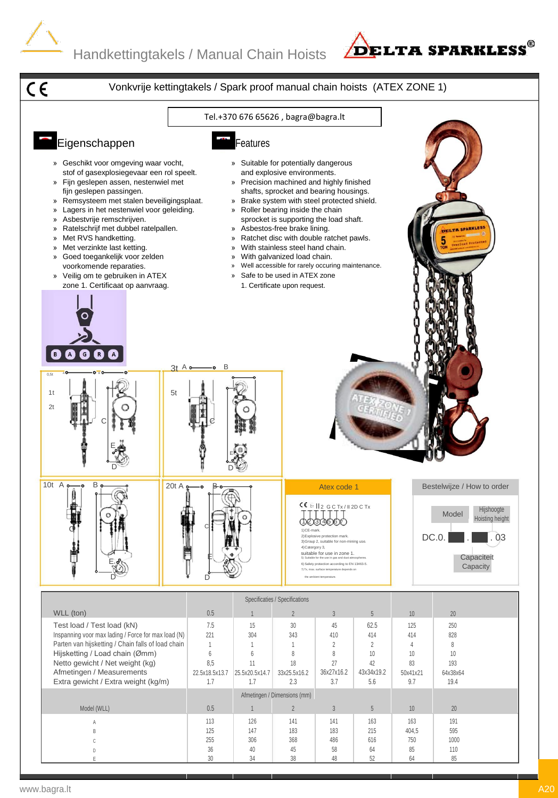